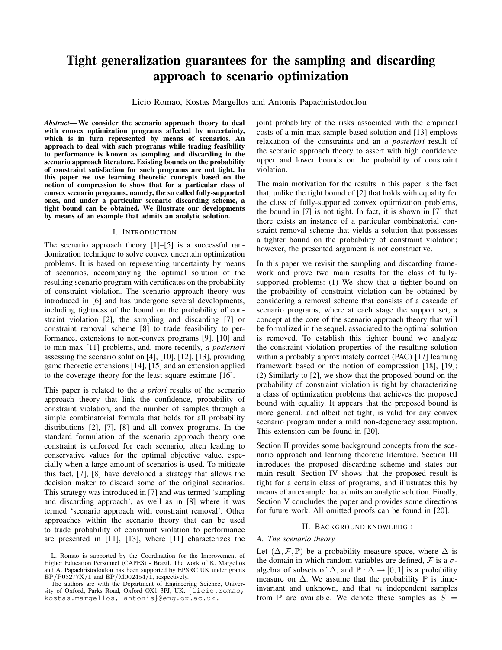# Tight generalization guarantees for the sampling and discarding approach to scenario optimization

Licio Romao, Kostas Margellos and Antonis Papachristodoulou

*Abstract*— We consider the scenario approach theory to deal with convex optimization programs affected by uncertainty, which is in turn represented by means of scenarios. An approach to deal with such programs while trading feasibility to performance is known as sampling and discarding in the scenario approach literature. Existing bounds on the probability of constraint satisfaction for such programs are not tight. In this paper we use learning theoretic concepts based on the notion of compression to show that for a particular class of convex scenario programs, namely, the so called fully-supported ones, and under a particular scenario discarding scheme, a tight bound can be obtained. We illustrate our developments by means of an example that admits an analytic solution.

## I. INTRODUCTION

The scenario approach theory [1]–[5] is a successful randomization technique to solve convex uncertain optimization problems. It is based on representing uncertainty by means of scenarios, accompanying the optimal solution of the resulting scenario program with certificates on the probability of constraint violation. The scenario approach theory was introduced in [6] and has undergone several developments, including tightness of the bound on the probability of constraint violation [2], the sampling and discarding [7] or constraint removal scheme [8] to trade feasibility to performance, extensions to non-convex programs [9], [10] and to min-max [11] problems, and, more recently, *a posteriori* assessing the scenario solution [4], [10], [12], [13], providing game theoretic extensions [14], [15] and an extension applied to the coverage theory for the least square estimate [16].

This paper is related to the *a priori* results of the scenario approach theory that link the confidence, probability of constraint violation, and the number of samples through a simple combinatorial formula that holds for all probability distributions [2], [7], [8] and all convex programs. In the standard formulation of the scenario approach theory one constraint is enforced for each scenario, often leading to conservative values for the optimal objective value, especially when a large amount of scenarios is used. To mitigate this fact, [7], [8] have developed a strategy that allows the decision maker to discard some of the original scenarios. This strategy was introduced in [7] and was termed 'sampling and discarding approach', as well as in [8] where it was termed 'scenario approach with constraint removal'. Other approaches within the scenario theory that can be used to trade probability of constraint violation to performance are presented in [11], [13], where [11] characterizes the joint probability of the risks associated with the empirical costs of a min-max sample-based solution and [13] employs relaxation of the constraints and an *a posteriori* result of the scenario approach theory to assert with high confidence upper and lower bounds on the probability of constraint violation.

The main motivation for the results in this paper is the fact that, unlike the tight bound of [2] that holds with equality for the class of fully-supported convex optimization problems, the bound in [7] is not tight. In fact, it is shown in [7] that there exists an instance of a particular combinatorial constraint removal scheme that yields a solution that possesses a tighter bound on the probability of constraint violation; however, the presented argument is not constructive.

In this paper we revisit the sampling and discarding framework and prove two main results for the class of fullysupported problems: (1) We show that a tighter bound on the probability of constraint violation can be obtained by considering a removal scheme that consists of a cascade of scenario programs, where at each stage the support set, a concept at the core of the scenario approach theory that will be formalized in the sequel, associated to the optimal solution is removed. To establish this tighter bound we analyze the constraint violation properties of the resulting solution within a probably approximately correct (PAC) [17] learning framework based on the notion of compression [18], [19]; (2) Similarly to [2], we show that the proposed bound on the probability of constraint violation is tight by characterizing a class of optimization problems that achieves the proposed bound with equality. It appears that the proposed bound is more general, and albeit not tight, is valid for any convex scenario program under a mild non-degeneracy assumption. This extension can be found in [20].

Section II provides some background concepts from the scenario approach and learning theoretic literature. Section III introduces the proposed discarding scheme and states our main result. Section IV shows that the proposed result is tight for a certain class of programs, and illustrates this by means of an example that admits an analytic solution. Finally, Section V concludes the paper and provides some directions for future work. All omitted proofs can be found in [20].

#### II. BACKGROUND KNOWLEDGE

#### *A. The scenario theory*

Let  $(\Delta, \mathcal{F}, \mathbb{P})$  be a probability measure space, where  $\Delta$  is the domain in which random variables are defined,  $\mathcal F$  is a  $\sigma$ algebra of subsets of  $\Delta$ , and  $\mathbb{P} : \Delta \to [0, 1]$  is a probability measure on  $\Delta$ . We assume that the probability  $\mathbb P$  is timeinvariant and unknown, and that  $m$  independent samples from  $\mathbb P$  are available. We denote these samples as  $S =$ 

L. Romao is supported by the Coordination for the Improvement of Higher Education Personnel (CAPES) - Brazil. The work of K. Margellos and A. Papachristodoulou has been supported by EPSRC UK under grants  $EP/P03277X/1$  and  $EP/M002454/1$ , respectively.

The authors are with the Department of Engineering Science, University of Oxford, Parks Road, Oxford OX1 3PJ, UK. {licio.romao, kostas.margellos, antonis}@eng.ox.ac.uk.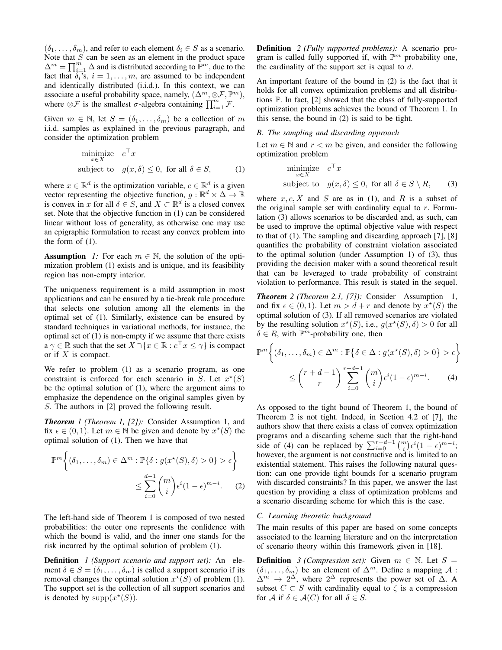$(\delta_1, \ldots, \delta_m)$ , and refer to each element  $\delta_i \in S$  as a scenario. Note that  $S$  can be seen as an element in the product space  $\Delta^m = \prod_{i=1}^m \Delta$  and is distributed according to  $\mathbb{P}^m$ , due to the fact that  $\delta_i$ 's,  $i = 1, \ldots, m$ , are assumed to be independent and identically distributed (i.i.d.). In this context, we can associate a useful probability space, namely,  $(\Delta^m, \otimes \mathcal{F}, \mathbb{P}^m)$ , where  $\otimes \mathcal{F}$  is the smallest  $\sigma$ -algebra containing  $\prod_{i=1}^{m} \mathcal{F}$ .

Given  $m \in \mathbb{N}$ , let  $S = (\delta_1, \dots, \delta_m)$  be a collection of m i.i.d. samples as explained in the previous paragraph, and consider the optimization problem

$$
\begin{array}{ll}\text{minimize} & c^\top x\\ \text{subject to} & g(x,\delta) \le 0, \text{ for all } \delta \in S, \end{array} \tag{1}
$$

where  $x \in \mathbb{R}^d$  is the optimization variable,  $c \in \mathbb{R}^d$  is a given vector representing the objective function,  $g : \mathbb{R}^d \times \Delta \to \mathbb{R}$ is convex in x for all  $\delta \in S$ , and  $X \subset \mathbb{R}^d$  is a closed convex set. Note that the objective function in (1) can be considered linear without loss of generality, as otherwise one may use an epigraphic formulation to recast any convex problem into the form of (1).

**Assumption** *1:* For each  $m \in \mathbb{N}$ , the solution of the optimization problem (1) exists and is unique, and its feasibility region has non-empty interior.

The uniqueness requirement is a mild assumption in most applications and can be ensured by a tie-break rule procedure that selects one solution among all the elements in the optimal set of (1). Similarly, existence can be ensured by standard techniques in variational methods, for instance, the optimal set of (1) is non-empty if we assume that there exists  $a \gamma \in \mathbb{R}$  such that the set  $X \cap \{x \in \mathbb{R} : c^\top x \leq \gamma\}$  is compact or if  $X$  is compact.

We refer to problem (1) as a scenario program, as one constraint is enforced for each scenario in S. Let  $x^*(S)$ be the optimal solution of (1), where the argument aims to emphasize the dependence on the original samples given by S. The authors in [2] proved the following result.

*Theorem 1 (Theorem 1, [2]):* Consider Assumption 1, and fix  $\epsilon \in (0,1)$ . Let  $m \in \mathbb{N}$  be given and denote by  $x^*(S)$  the optimal solution of (1). Then we have that

$$
\mathbb{P}^m\bigg\{(\delta_1,\ldots,\delta_m) \in \Delta^m : \mathbb{P}\{\delta : g(x^*(S),\delta) > 0\} > \epsilon\bigg\}
$$

$$
\leq \sum_{i=0}^{d-1} {m \choose i} \epsilon^i (1-\epsilon)^{m-i}.
$$
 (2)

The left-hand side of Theorem 1 is composed of two nested probabilities: the outer one represents the confidence with which the bound is valid, and the inner one stands for the risk incurred by the optimal solution of problem (1).

Definition *1 (Support scenario and support set):* An element  $\delta \in S = (\delta_1, \dots, \delta_m)$  is called a support scenario if its removal changes the optimal solution  $x^*(S)$  of problem (1). The support set is the collection of all support scenarios and is denoted by  $\text{supp}(x^*(S))$ .

Definition *2 (Fully supported problems):* A scenario program is called fully supported if, with  $\mathbb{P}^m$  probability one, the cardinality of the support set is equal to  $d$ .

An important feature of the bound in (2) is the fact that it holds for all convex optimization problems and all distributions P. In fact, [2] showed that the class of fully-supported optimization problems achieves the bound of Theorem 1. In this sense, the bound in (2) is said to be tight.

# *B. The sampling and discarding approach*

Let  $m \in \mathbb{N}$  and  $r < m$  be given, and consider the following optimization problem

$$
\begin{array}{ll}\text{minimize} & c^\top x\\ \text{subject to} & g(x,\delta) \le 0, \text{ for all } \delta \in S \setminus R, \qquad (3) \end{array}
$$

where  $x, c, X$  and S are as in (1), and R is a subset of the original sample set with cardinality equal to  $r$ . Formulation (3) allows scenarios to be discarded and, as such, can be used to improve the optimal objective value with respect to that of (1). The sampling and discarding approach [7], [8] quantifies the probability of constraint violation associated to the optimal solution (under Assumption 1) of (3), thus providing the decision maker with a sound theoretical result that can be leveraged to trade probability of constraint violation to performance. This result is stated in the sequel.

*Theorem 2 (Theorem 2.1, [7]):* Consider Assumption 1, and fix  $\epsilon \in (0,1)$ . Let  $m > d + r$  and denote by  $x^*(S)$  the optimal solution of (3). If all removed scenarios are violated by the resulting solution  $x^*(S)$ , i.e.,  $g(x^*(S), \delta) > 0$  for all  $\delta \in R$ , with  $\mathbb{P}^m$ -probability one, then

$$
\mathbb{P}^m \left\{ (\delta_1, \dots, \delta_m) \in \Delta^m : \mathbb{P} \{ \delta \in \Delta : g(x^*(S), \delta) > 0 \} > \epsilon \right\}
$$

$$
\leq {r + d - 1 \choose r} \sum_{i=0}^{r+d-1} {m \choose i} \epsilon^i (1 - \epsilon)^{m-i}.
$$
(4)

As opposed to the tight bound of Theorem 1, the bound of Theorem 2 is not tight. Indeed, in Section 4.2 of [7], the authors show that there exists a class of convex optimization programs and a discarding scheme such that the right-hand side of (4) can be replaced by  $\sum_{i=0}^{r+d-1} \binom{m}{i} \epsilon^{i} (1-\epsilon)^{m-i}$ ; however, the argument is not constructive and is limited to an existential statement. This raises the following natural question: can one provide tight bounds for a scenario program with discarded constraints? In this paper, we answer the last question by providing a class of optimization problems and a scenario discarding scheme for which this is the case.

# *C. Learning theoretic background*

The main results of this paper are based on some concepts associated to the learning literature and on the interpretation of scenario theory within this framework given in [18].

**Definition** *3 (Compression set):* Given  $m \in \mathbb{N}$ . Let  $S =$  $(\delta_1, \ldots, \delta_m)$  be an element of  $\Delta^m$ . Define a mapping A :  $\Delta^m \to 2^{\Delta}$ , where  $2^{\Delta}$  represents the power set of  $\Delta$ . A subset  $C \subset S$  with cardinality equal to  $\zeta$  is a compression for A if  $\delta \in A(C)$  for all  $\delta \in S$ .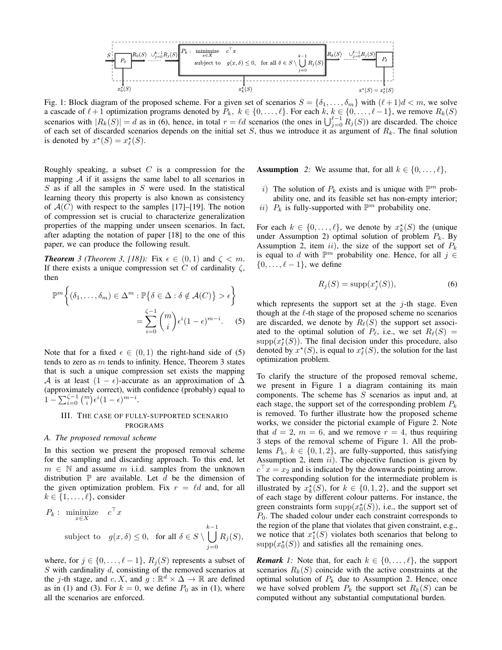

Fig. 1: Block diagram of the proposed scheme. For a given set of scenarios  $S = \{\delta_1, \ldots, \delta_m\}$  with  $(\ell + 1)d < m$ , we solve a cascade of  $\ell + 1$  optimization programs denoted by  $P_k$ ,  $k \in \{0, \ldots, \ell\}$ . For each  $k, k \in \{0, \ldots, \ell-1\}$ , we remove  $R_k(S)$ scenarios with  $|R_k(S)| = d$  as in (6), hence, in total  $r = \ell d$  scenarios (the ones in  $\bigcup_{j=0}^{\ell-1} R_j(S)$ ) are discarded. The choice of each set of discarded scenarios depends on the initial set  $S$ , thus we introduce it as argument of  $R_k$ . The final solution is denoted by  $x^*(S) = x^*_{\ell}(S)$ .

Roughly speaking, a subset  $C$  is a compression for the mapping  $A$  if it assigns the same label to all scenarios in  $S$  as if all the samples in  $S$  were used. In the statistical learning theory this property is also known as consistency of  $A(C)$  with respect to the samples [17]–[19]. The notion of compression set is crucial to characterize generalization properties of the mapping under unseen scenarios. In fact, after adapting the notation of paper [18] to the one of this paper, we can produce the following result.

**Theorem** 3 (Theorem 3, [18]): Fix  $\epsilon \in (0,1)$  and  $\zeta < m$ . If there exists a unique compression set C of cardinality  $\zeta$ , then

$$
\mathbb{P}^m\bigg\{ (\delta_1, \dots, \delta_m) \in \Delta^m : \mathbb{P}\{\delta \in \Delta : \delta \notin \mathcal{A}(C)\} > \epsilon \bigg\}
$$

$$
= \sum_{i=0}^{\zeta-1} {m \choose i} \epsilon^i (1-\epsilon)^{m-i} . \tag{5}
$$

Note that for a fixed  $\epsilon \in (0,1)$  the right-hand side of (5) tends to zero as  $m$  tends to infinity. Hence, Theorem 3 states that is such a unique compression set exists the mapping A is at least  $(1 - \epsilon)$ -accurate as an approximation of  $\Delta$ (approximately correct), with confidence (probably) equal to  $1 - \sum_{i=0}^{\zeta-1} {m \choose i} \epsilon^{i} (1-\epsilon)^{m-i}.$ 

## III. THE CASE OF FULLY-SUPPORTED SCENARIO PROGRAMS

## *A. The proposed removal scheme*

In this section we present the proposed removal scheme for the sampling and discarding approach. To this end, let  $m \in \mathbb{N}$  and assume m i.i.d. samples from the unknown distribution  $\mathbb P$  are available. Let d be the dimension of the given optimization problem. Fix  $r = \ell d$  and, for all  $k \in \{1, \ldots, \ell\}$ , consider

$$
P_k: \begin{array}{ll}\n\text{minimize} & c^\top x \\
\text{subject to} & g(x, \delta) \leq 0, \quad \text{for all } \delta \in S \setminus \bigcup_{j=0}^{k-1} R_j(S),\n\end{array}
$$

where, for  $j \in \{0, \ldots, \ell - 1\}$ ,  $R_i(S)$  represents a subset of S with cardinality d, consisting of the removed scenarios at the j-th stage, and c, X, and  $\overline{g} : \mathbb{R}^d \times \Delta \to \mathbb{R}$  are defined as in (1) and (3). For  $k = 0$ , we define  $P_0$  as in (1), where all the scenarios are enforced.

**Assumption** 2: We assume that, for all  $k \in \{0, \ldots, \ell\},\$ 

- i) The solution of  $P_k$  exists and is unique with  $\mathbb{P}^m$  probability one, and its feasible set has non-empty interior;
- ii)  $P_k$  is fully-supported with  $\mathbb{P}^m$  probability one.

For each  $k \in \{0, \ldots, \ell\}$ , we denote by  $x_k^{\star}(S)$  the (unique under Assumption 2) optimal solution of problem  $P_k$ . By Assumption 2, item ii), the size of the support set of  $P_k$ is equal to d with  $\mathbb{P}^m$  probability one. Hence, for all  $j \in$  $\{0, \ldots, \ell - 1\}$ , we define

$$
R_j(S) = \text{supp}(x_j^*(S)),\tag{6}
$$

which represents the support set at the  $j$ -th stage. Even though at the  $\ell$ -th stage of the proposed scheme no scenarios are discarded, we denote by  $R_{\ell}(S)$  the support set associated to the optimal solution of  $P_\ell$ , i.e., we set  $R_\ell(S)$  =  $\text{supp}(x_{\ell}^{*}(S))$ . The final decision under this procedure, also denoted by  $x^*(S)$ , is equal to  $x^*_{\ell}(S)$ , the solution for the last optimization problem.

To clarify the structure of the proposed removal scheme, we present in Figure 1 a diagram containing its main components. The scheme has  $S$  scenarios as input and, at each stage, the support set of the corresponding problem  $P_k$ is removed. To further illustrate how the proposed scheme works, we consider the pictorial example of Figure 2. Note that  $d = 2$ ,  $m = 6$ , and we remove  $r = 4$ , thus requiring 3 steps of the removal scheme of Figure 1. All the problems  $P_k$ ,  $k \in \{0, 1, 2\}$ , are fully-supported, thus satisfying Assumption 2, item  $ii$ ). The objective function is given by  $c^{\top} x = x_2$  and is indicated by the downwards pointing arrow. The corresponding solution for the intermediate problem is illustrated by  $x_k^{\star}(S)$ , for  $k \in \{0,1,2\}$ , and the support set of each stage by different colour patterns. For instance, the green constraints form  $\text{supp}(x_0^*(S))$ , i.e., the support set of  $P_0$ . The shaded colour under each constraint corresponds to the region of the plane that violates that given constraint, e.g., we notice that  $x_1^*(S)$  violates both scenarios that belong to  $\text{supp}(x_0^*(S))$  and satisfies all the remaining ones.

*Remark 1:* Note that, for each  $k \in \{0, \ldots, \ell\}$ , the support scenarios  $R_k(S)$  coincide with the active constraints at the optimal solution of  $P_k$  due to Assumption 2. Hence, once we have solved problem  $P_k$  the support set  $R_k(S)$  can be computed without any substantial computational burden.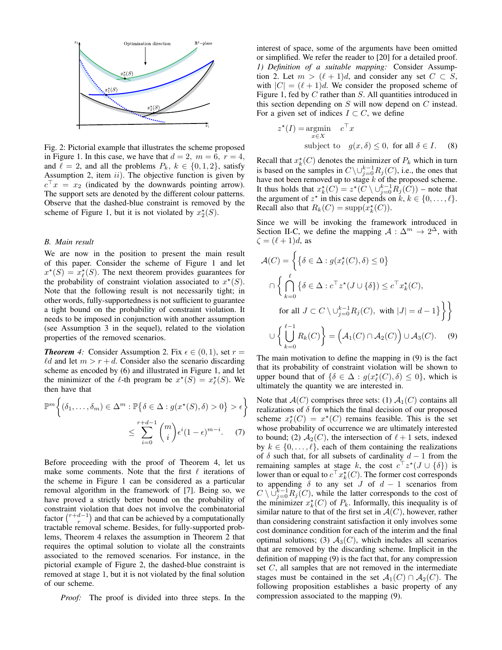

Fig. 2: Pictorial example that illustrates the scheme proposed in Figure 1. In this case, we have that  $d = 2$ ,  $m = 6$ ,  $r = 4$ , and  $\ell = 2$ , and all the problems  $P_k$ ,  $k \in \{0, 1, 2\}$ , satisfy Assumption 2, item  $ii$ ). The objective function is given by  $c^{\top}x = x_2$  (indicated by the downwards pointing arrow). The support sets are denoted by the different colour patterns. Observe that the dashed-blue constraint is removed by the scheme of Figure 1, but it is not violated by  $x_2^*(S)$ .

#### *B. Main result*

We are now in the position to present the main result of this paper. Consider the scheme of Figure 1 and let  $x^*(S) = x_{\ell}^*(S)$ . The next theorem provides guarantees for the probability of constraint violation associated to  $x^*(S)$ . Note that the following result is not necessarily tight; in other words, fully-supportedness is not sufficient to guarantee a tight bound on the probability of constraint violation. It needs to be imposed in conjunction with another assumption (see Assumption 3 in the sequel), related to the violation properties of the removed scenarios.

*Theorem 4:* Consider Assumption 2. Fix  $\epsilon \in (0,1)$ , set  $r =$  $\ell d$  and let  $m > r + d$ . Consider also the scenario discarding scheme as encoded by (6) and illustrated in Figure 1, and let the minimizer of the  $\ell$ -th program be  $x^*(S) = x^*_{\ell}(S)$ . We then have that

$$
\mathbb{P}^m\left\{(\delta_1,\ldots,\delta_m)\in\Delta^m:\mathbb{P}\left\{\delta\in\Delta:g(x^\star(S),\delta)>0\right\}>\epsilon\right\}
$$

$$
\leq \sum_{i=0}^{r+d-1} {m \choose i} \epsilon^i (1-\epsilon)^{m-i}.\tag{7}
$$

Before proceeding with the proof of Theorem 4, let us make some comments. Note that the first  $\ell$  iterations of the scheme in Figure 1 can be considered as a particular removal algorithm in the framework of [7]. Being so, we have proved a strictly better bound on the probability of constraint violation that does not involve the combinatorial factor  $\binom{r+d-1}{r}$  and that can be achieved by a computationally tractable removal scheme. Besides, for fully-supported problems, Theorem 4 relaxes the assumption in Theorem 2 that requires the optimal solution to violate all the constraints associated to the removed scenarios. For instance, in the pictorial example of Figure 2, the dashed-blue constraint is removed at stage 1, but it is not violated by the final solution of our scheme.

*Proof:* The proof is divided into three steps. In the

interest of space, some of the arguments have been omitted or simplified. We refer the reader to [20] for a detailed proof. *1) Definition of a suitable mapping:* Consider Assumption 2. Let  $m > (\ell + 1)d$ , and consider any set  $C \subset S$ , with  $|C| = (\ell + 1)d$ . We consider the proposed scheme of Figure 1, fed by  $C$  rather than  $S$ . All quantities introduced in this section depending on  $S$  will now depend on  $C$  instead. For a given set of indices  $I \subset C$ , we define

$$
z^*(I) = \underset{x \in X}{\text{argmin}} \quad c^\top x
$$
  
subject to  $g(x, \delta) \le 0$ , for all  $\delta \in I$ . (8)

Recall that  $x_k^*(C)$  denotes the minimizer of  $P_k$  which in turn is based on the samples in  $C \setminus \cup_{j=0}^{k-1} R_j(C)$ , i.e., the ones that have not been removed up to stage  $k$  of the proposed scheme. It thus holds that  $x_k^*(C) = z^*(C \setminus \cup_{j=0}^{k-1} R_j(C))$  – note that the argument of  $z^*$  in this case depends on  $k, k \in \{0, \ldots, \ell\}.$ Recall also that  $R_k(C) = \text{supp}(x_k^*(C)).$ 

Since we will be invoking the framework introduced in Section II-C, we define the mapping  $A: \Delta^m \to 2^{\Delta}$ , with  $\zeta = (\ell + 1)d$ , as

$$
\mathcal{A}(C) = \left\{ \left\{ \delta \in \Delta : g(x_{\ell}^{*}(C), \delta) \le 0 \right\} \right\}
$$

$$
\cap \left\{ \bigcap_{k=0}^{\ell} \left\{ \delta \in \Delta : c^{\top} z^{*}(J \cup \{\delta\}) \le c^{\top} x_{k}^{*}(C), \right\}
$$
  
for all  $J \subset C \setminus \bigcup_{j=0}^{k-1} R_{j}(C),$  with  $|J| = d - 1 \right\} \right\}$ 
$$
\cup \left\{ \bigcup_{k=0}^{\ell-1} R_{k}(C) \right\} = \left( \mathcal{A}_{1}(C) \cap \mathcal{A}_{2}(C) \right) \cup \mathcal{A}_{3}(C). \quad (9)
$$

The main motivation to define the mapping in (9) is the fact that its probability of constraint violation will be shown to upper bound that of  $\{\delta \in \Delta : g(x^*_{\ell}(C), \delta) \leq 0\}$ , which is ultimately the quantity we are interested in.

Note that  $\mathcal{A}(C)$  comprises three sets: (1)  $\mathcal{A}_1(C)$  contains all realizations of  $\delta$  for which the final decision of our proposed scheme  $x^*_{\ell}(C) = x^*(C)$  remains feasible. This is the set whose probability of occurrence we are ultimately interested to bound; (2)  $A_2(C)$ , the intersection of  $\ell + 1$  sets, indexed by  $k \in \{0, \ldots, \ell\}$ , each of them containing the realizations of  $\delta$  such that, for all subsets of cardinality  $d-1$  from the remaining samples at stage k, the cost  $c^{\top} z^*(J \cup {\delta})$  is lower than or equal to  $c^{\top} x_k^{\star}(C)$ . The former cost corresponds to appending  $\delta$  to any set J of  $d - 1$  scenarios from  $C \setminus \bigcup_{j=0}^{k-1} R_j(C)$ , while the latter corresponds to the cost of the minimizer  $x_k^*(C)$  of  $P_k$ . Informally, this inequality is of similar nature to that of the first set in  $\mathcal{A}(C)$ , however, rather than considering constraint satisfaction it only involves some cost dominance condition for each of the interim and the final optimal solutions; (3)  $A_3(C)$ , which includes all scenarios that are removed by the discarding scheme. Implicit in the definition of mapping (9) is the fact that, for any compression set C, all samples that are not removed in the intermediate stages must be contained in the set  $A_1(C) \cap A_2(C)$ . The following proposition establishes a basic property of any compression associated to the mapping (9).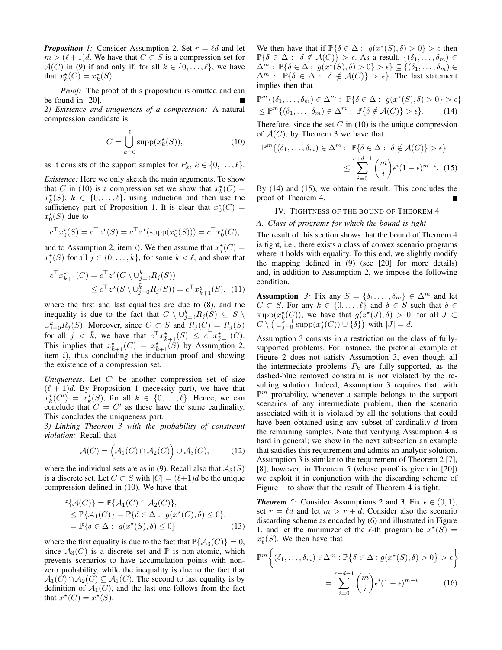*Proposition 1:* Consider Assumption 2. Set  $r = \ell d$  and let  $m > (\ell + 1)d$ . We have that  $C \subset S$  is a compression set for  $\mathcal{A}(C)$  in (9) if and only if, for all  $k \in \{0, \ldots, \ell\}$ , we have that  $x_k^*(C) = x_k^*(S)$ .

*Proof:* The proof of this proposition is omitted and can be found in [20].

*2) Existence and uniqueness of a compression:* A natural compression candidate is

$$
C = \bigcup_{k=0}^{\ell} \text{supp}(x_k^*(S)),\tag{10}
$$

as it consists of the support samples for  $P_k$ ,  $k \in \{0, \ldots, \ell\}$ .

*Existence:* Here we only sketch the main arguments. To show that C in (10) is a compression set we show that  $x_k^*(C) =$  $x_k^*(S)$ ,  $k \in \{0, \ldots, \ell\}$ , using induction and then use the sufficiency part of Proposition 1. It is clear that  $x_0^*(C) =$  $x_0^*(S)$  due to

$$
c^{\top} x_0^{\star}(S) = c^{\top} z^{\star}(S) = c^{\top} z^{\star}(\text{supp}(x_0^{\star}(S))) = c^{\top} x_0^{\star}(C),
$$

and to Assumption 2, item *i*). We then assume that  $x_j^*(C)$  =  $x_j^*(S)$  for all  $j \in \{0, \ldots, \overline{k}\},$  for some  $\overline{k} < \ell$ , and show that

$$
c^{\top} x_{\bar{k}+1}^{\star}(C) = c^{\top} z^{\star}(C \setminus \cup_{j=0}^{\bar{k}} R_j(S))
$$
  
 
$$
\leq c^{\top} z^{\star}(S \setminus \cup_{j=0}^{\bar{k}} R_j(S)) = c^{\top} x_{\bar{k}+1}^{\star}(S), \quad (11)
$$

where the first and last equalities are due to (8), and the inequality is due to the fact that  $C \setminus \cup_{j=0}^{\overline{k}} R_j(S) \subseteq S \setminus$  $\cup_{j=0}^{\overline{k}} R_j(S)$ . Moreover, since  $C \subset S$  and  $R_j(C) = R_j(S)$ for all  $j < \bar{k}$ , we have that  $c^{\top} x_{\bar{k}+1}^{\star}(S) \leq c^{\top} x_{\bar{k}+1}^{\star}(C)$ . This implies that  $x_{\bar{k}+1}^{\star}(C) = x_{\bar{k}+1}^{\star}(\tilde{S})$  by Assumption 2, item  $i$ ), thus concluding the induction proof and showing the existence of a compression set.

Uniqueness: Let  $C'$  be another compression set of size  $(\ell + 1)d$ . By Proposition 1 (necessity part), we have that  $x_k^{\star}(C') = x_k^{\star}(S)$ , for all  $k \in \{0, ..., \ell\}$ . Hence, we can conclude that  $C = C'$  as these have the same cardinality. This concludes the uniqueness part.

*3) Linking Theorem 3 with the probability of constraint violation:* Recall that

$$
\mathcal{A}(C) = (\mathcal{A}_1(C) \cap \mathcal{A}_2(C)) \cup \mathcal{A}_3(C), \tag{12}
$$

where the individual sets are as in (9). Recall also that  $A_3(S)$ is a discrete set. Let  $C \subset S$  with  $|C| = (\ell+1)d$  be the unique compression defined in (10). We have that

$$
\mathbb{P}\{\mathcal{A}(C)\} = \mathbb{P}\{\mathcal{A}_1(C) \cap \mathcal{A}_2(C)\},
$$
  
\n
$$
\leq \mathbb{P}\{\mathcal{A}_1(C)\} = \mathbb{P}\{\delta \in \Delta : g(x^*(C), \delta) \leq 0\},
$$
  
\n
$$
= \mathbb{P}\{\delta \in \Delta : g(x^*(S), \delta) \leq 0\},
$$
\n(13)

where the first equality is due to the fact that  $\mathbb{P}{A_3(C)} = 0$ , since  $A_3(C)$  is a discrete set and  $\mathbb P$  is non-atomic, which prevents scenarios to have accumulation points with nonzero probability, while the inequality is due to the fact that  $\mathcal{A}_1(C) \cap \mathcal{A}_2(C) \subseteq \mathcal{A}_1(C)$ . The second to last equality is by definition of  $A_1(C)$ , and the last one follows from the fact that  $x^*(C) = x^*(S)$ .

We then have that if  $\mathbb{P}\{\delta \in \Delta : g(x^*(S), \delta) > 0\} > \epsilon$  then  $\mathbb{P}\{\delta \in \Delta : \delta \notin \mathcal{A}(C)\} > \epsilon$ . As a result,  $\{(\delta_1, \ldots, \delta_m) \in$  $\Delta^m:~\mathbb{P}\{\delta\in\Delta:~g(x^\star(S),\delta)>0\}>\epsilon\}\subseteq\overline{\{(\delta_1,\ldots,\delta_m)}\in\mathbb{P}\}$  $\Delta^m$  :  $\mathbb{P}\{\delta \in \Delta : \delta \notin \mathcal{A}(C)\} > \epsilon\}.$  The last statement implies then that

$$
\mathbb{P}^m \{ (\delta_1, \dots, \delta_m) \in \Delta^m : \mathbb{P} \{ \delta \in \Delta : g(x^*(S), \delta) > 0 \} > \epsilon \} \leq \mathbb{P}^m \{ (\delta_1, \dots, \delta_m) \in \Delta^m : \mathbb{P} \{ \delta \notin \mathcal{A}(C) \} > \epsilon \}.
$$
 (14)

Therefore, since the set  $C$  in (10) is the unique compression of  $A(C)$ , by Theorem 3 we have that

$$
\mathbb{P}^m\{(\delta_1,\ldots,\delta_m)\in\Delta^m:\ \mathbb{P}\{\delta\in\Delta:\ \delta\notin\mathcal{A}(C)\}>\epsilon\}
$$

$$
\leq \sum_{i=0}^{r+d-1} \binom{m}{i} \epsilon^i (1-\epsilon)^{m-i}.\tag{15}
$$

By (14) and (15), we obtain the result. This concludes the proof of Theorem 4.

### IV. TIGHTNESS OF THE BOUND OF THEOREM 4

#### *A. Class of programs for which the bound is tight*

The result of this section shows that the bound of Theorem 4 is tight, i.e., there exists a class of convex scenario programs where it holds with equality. To this end, we slightly modify the mapping defined in (9) (see [20] for more details) and, in addition to Assumption 2, we impose the following condition.

**Assumption** *3:* Fix any  $S = \{\delta_1, \ldots, \delta_m\} \in \Delta^m$  and let  $C \subset S$ . For any  $k \in \{0, \ldots, \ell\}$  and  $\delta \in S$  such that  $\delta \in$  $\text{supp}(x_k^*(C))$ , we have that  $g(z^*(J), \delta) > 0$ , for all  $J \subset$  $C \setminus (\bigcup_{j=0}^{k-1} \text{supp}(x_j^*(C)) \cup \{\delta\})$  with  $|J| = d$ .

Assumption 3 consists in a restriction on the class of fullysupported problems. For instance, the pictorial example of Figure 2 does not satisfy Assumption 3, even though all the intermediate problems  $P_k$  are fully-supported, as the dashed-blue removed constraint is not violated by the resulting solution. Indeed, Assumption 3 requires that, with  $\mathbb{P}^m$  probability, whenever a sample belongs to the support scenarios of any intermediate problem, then the scenario associated with it is violated by all the solutions that could have been obtained using any subset of cardinality d from the remaining samples. Note that verifying Assumption 4 is hard in general; we show in the next subsection an example that satisfies this requirement and admits an analytic solution. Assumption 3 is similar to the requirement of Theorem 2 [7], [8], however, in Theorem 5 (whose proof is given in [20]) we exploit it in conjunction with the discarding scheme of Figure 1 to show that the result of Theorem 4 is tight.

*Theorem 5:* Consider Assumptions 2 and 3. Fix  $\epsilon \in (0, 1)$ , set  $r = \ell d$  and let  $m > r + d$ . Consider also the scenario discarding scheme as encoded by (6) and illustrated in Figure 1, and let the minimizer of the  $\ell$ -th program be  $x^*(S)$  =  $x_{\ell}^{\star}(S)$ . We then have that

$$
\mathbb{P}^m \left\{ (\delta_1, \dots, \delta_m) \in \Delta^m : \mathbb{P} \{ \delta \in \Delta : g(x^*(S), \delta) > 0 \} > \epsilon \right\}
$$

$$
= \sum_{i=0}^{r+d-1} {m \choose i} \epsilon^i (1-\epsilon)^{m-i}.
$$
(16)